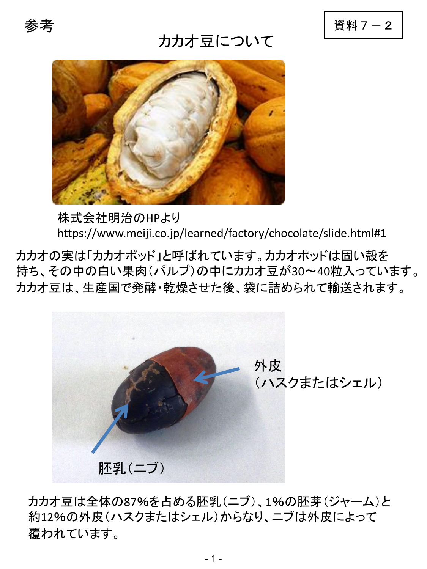## カカオ豆について

参考 別添1 別添2 別添3 別添4 資料7-2



株式会社明治のHPより https://www.meiji.co.jp/learned/factory/chocolate/slide.html#1 参考 別添1 別添2 別添3 別添4

カカオの実は「カカオポッド」と呼ばれています。カカオポッドは固い殻を 持ち、その中の白い果肉(パルプ)の中にカカオ豆が30~40粒入っています。 カカオ豆は、生産国で発酵・乾燥させた後、袋に詰められて輸送されます。



カカオ豆は全体の87%を占める胚乳(ニブ)、1%の胚芽(ジャーム)と 約12%の外皮(ハスクまたはシェル)からなり、ニブは外皮によって 覆われています。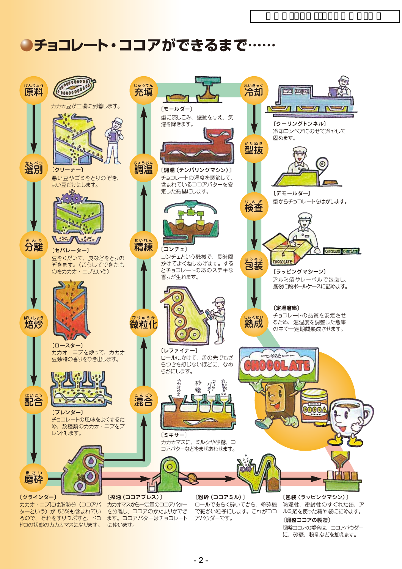# ●チョコレート・ココアができるまで……

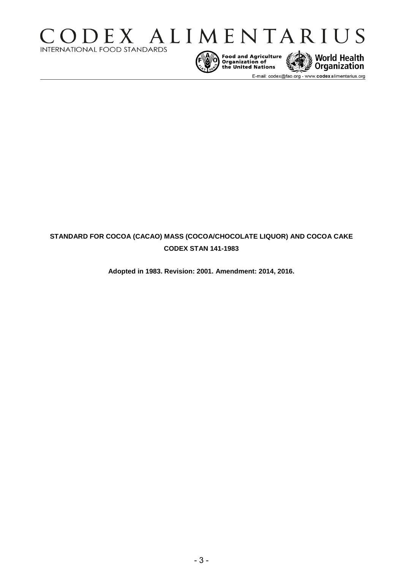



Food and Agriculture World Health<br>
Organization of<br>
the United Nations

E-mail: codex@fao.org - www.codexalimentarius.org

### **STANDARD FOR COCOA (CACAO) MASS (COCOA/CHOCOLATE LIQUOR) AND COCOA CAKE CODEX STAN 141-1983**

**Adopted in 1983. Revision: 2001. Amendment: 2014, 2016.**